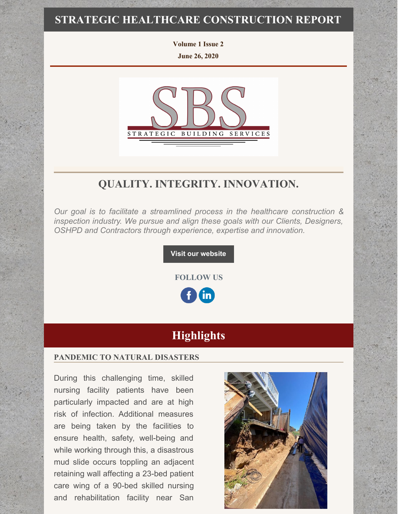### **STRATEGIC HEALTHCARE CONSTRUCTION REPORT**

**Volume 1 Issue 2 June 26, 2020**



# **QUALITY. INTEGRITY. INNOVATION.**

*Our goal is to facilitate a streamlined process in the healthcare construction & inspection industry. We pursue and align these goals with our Clients, Designers, OSHPD and Contractors through experience, expertise and innovation.*

**Visit our [website](http://www.strategic-building.com/)**

**FOLLOW US** in.

# **Highlights**

#### **PANDEMIC TO NATURAL DISASTERS**

During this challenging time, skilled nursing facility patients have been particularly impacted and are at high risk of infection. Additional measures are being taken by the facilities to ensure health, safety, well-being and while working through this, a disastrous mud slide occurs toppling an adjacent retaining wall affecting a 23-bed patient care wing of a 90-bed skilled nursing and rehabilitation facility near San

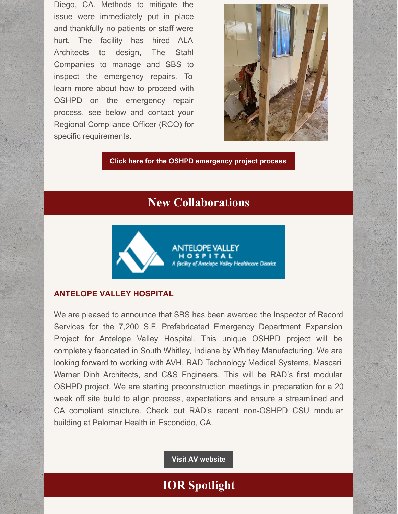Diego, CA. Methods to mitigate the issue were immediately put in place and thankfully no patients or staff were hurt. The facility has hired ALA Architects to design, The Stahl Companies to manage and SBS to inspect the emergency repairs. To learn more about how to proceed with OSHPD on the emergency repair process, see below and contact your Regional Compliance Officer (RCO) for specific requirements.



**Click here for the OSHPD [emergency](https://www.cshe.org/common/uploaded files/conferences/sca 2019/coleman.pdf) project process**

## **New Collaborations**



#### **ANTELOPE VALLEY HOSPITAL**

We are pleased to announce that SBS has been awarded the Inspector of Record Services for the 7,200 S.F. Prefabricated Emergency Department Expansion Project for Antelope Valley Hospital. This unique OSHPD project will be completely fabricated in South Whitley, Indiana by Whitley Manufacturing. We are looking forward to working with AVH, RAD Technology Medical Systems, Mascari Warner Dinh Architects, and C&S Engineers. This will be RAD's first modular OSHPD project. We are starting preconstruction meetings in preparation for a 20 week off site build to align process, expectations and ensure a streamlined and CA compliant structure. Check out RAD's recent non-OSHPD CSU modular building at Palomar Health in Escondido, CA.

**Visit AV [website](https://www.avhospital.org/)**

## **IOR Spotlight**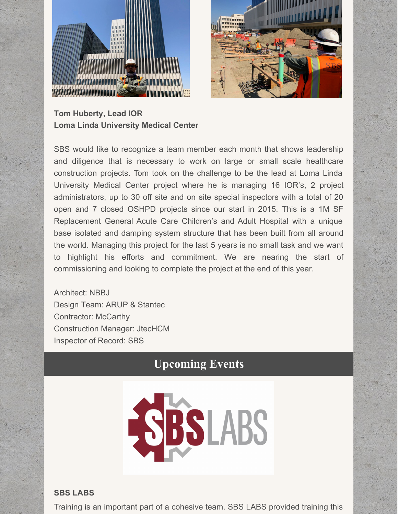



**Tom Huberty, Lead IOR Loma Linda University Medical Center**

SBS would like to recognize a team member each month that shows leadership and diligence that is necessary to work on large or small scale healthcare construction projects. Tom took on the challenge to be the lead at Loma Linda University Medical Center project where he is managing 16 IOR's, 2 project administrators, up to 30 off site and on site special inspectors with a total of 20 open and 7 closed OSHPD projects since our start in 2015. This is a 1M SF Replacement General Acute Care Children's and Adult Hospital with a unique base isolated and damping system structure that has been built from all around the world. Managing this project for the last 5 years is no small task and we want to highlight his efforts and commitment. We are nearing the start of commissioning and looking to complete the project at the end of this year.

Architect: NBBJ Design Team: ARUP & Stantec Contractor: McCarthy Construction Manager: JtecHCM Inspector of Record: SBS

# **Upcoming Events**



#### **SBS LABS**

Training is an important part of a cohesive team. SBS LABS provided training this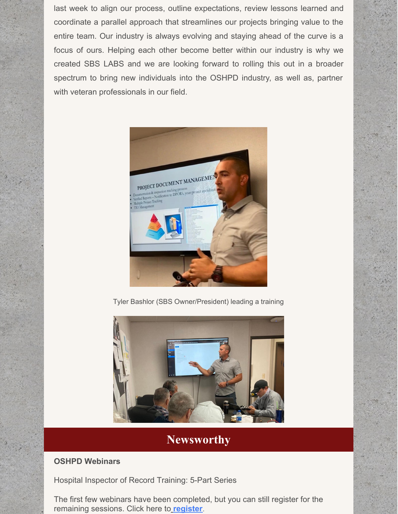last week to align our process, outline expectations, review lessons learned and coordinate a parallel approach that streamlines our projects bringing value to the entire team. Our industry is always evolving and staying ahead of the curve is a focus of ours. Helping each other become better within our industry is why we created SBS LABS and we are looking forward to rolling this out in a broader spectrum to bring new individuals into the OSHPD industry, as well as, partner with veteran professionals in our field.



Tyler Bashlor (SBS Owner/President) leading a training



## **Newsworthy**

### **OSHPD Webinars**

Hospital Inspector of Record Training: 5-Part Series

The first few webinars have been completed, but you can still register for the remaining sessions. Click here to **[register](https://oshpd.ca.gov/construction-finance/resources/training-education/)**.